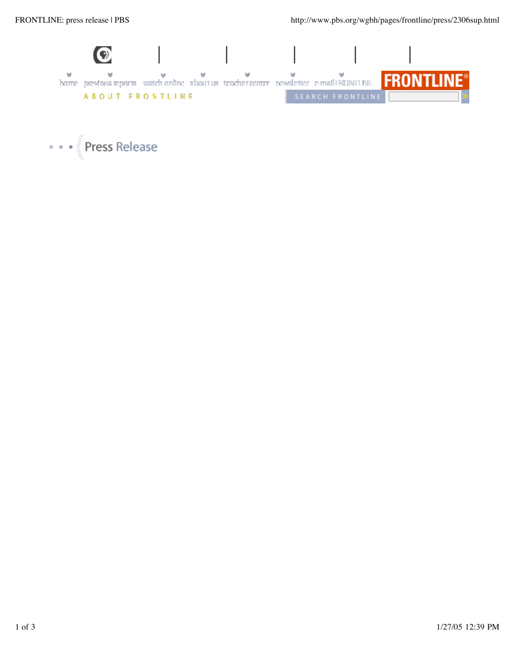

• • • Press Release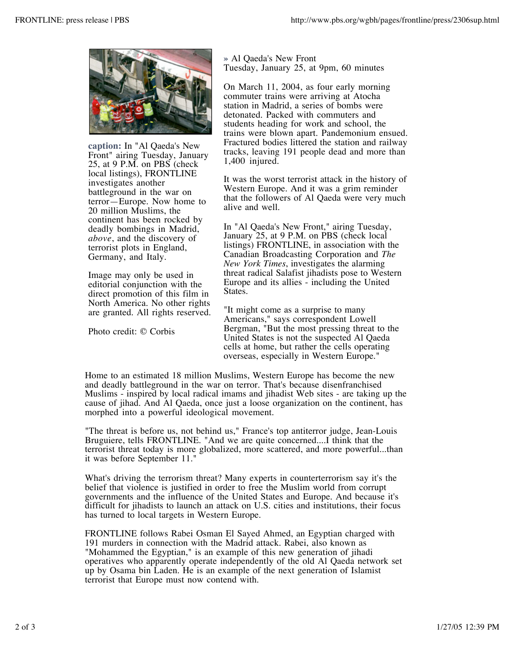

**caption:** In "Al Qaeda's New Front" airing Tuesday, January 25, at 9 P.M. on PBS (check local listings), FRONTLINE investigates another battleground in the war on terror—Europe. Now home to 20 million Muslims, the continent has been rocked by deadly bombings in Madrid, *above*, and the discovery of terrorist plots in England, Germany, and Italy.

Image may only be used in editorial conjunction with the direct promotion of this film in North America. No other rights are granted. All rights reserved.

Photo credit: © Corbis

**»** Al Qaeda's New Front Tuesday, January 25, at 9pm, 60 minutes

On March 11, 2004, as four early morning commuter trains were arriving at Atocha station in Madrid, a series of bombs were detonated. Packed with commuters and students heading for work and school, the trains were blown apart. Pandemonium ensued. Fractured bodies littered the station and railway tracks, leaving 191 people dead and more than 1,400 injured.

It was the worst terrorist attack in the history of Western Europe. And it was a grim reminder that the followers of Al Qaeda were very much alive and well.

In "Al Qaeda's New Front," airing Tuesday, January 25, at 9 P.M. on PBS (check local listings) FRONTLINE, in association with the Canadian Broadcasting Corporation and *The New York Times*, investigates the alarming threat radical Salafist jihadists pose to Western Europe and its allies - including the United States.

"It might come as a surprise to many Americans," says correspondent Lowell Bergman, "But the most pressing threat to the United States is not the suspected Al Qaeda cells at home, but rather the cells operating overseas, especially in Western Europe."

Home to an estimated 18 million Muslims, Western Europe has become the new and deadly battleground in the war on terror. That's because disenfranchised Muslims - inspired by local radical imams and jihadist Web sites - are taking up the cause of jihad. And Al Qaeda, once just a loose organization on the continent, has morphed into a powerful ideological movement.

"The threat is before us, not behind us," France's top antiterror judge, Jean-Louis Bruguiere, tells FRONTLINE. "And we are quite concerned....I think that the terrorist threat today is more globalized, more scattered, and more powerful...than it was before September 11."

What's driving the terrorism threat? Many experts in counterterrorism say it's the belief that violence is justified in order to free the Muslim world from corrupt governments and the influence of the United States and Europe. And because it's difficult for jihadists to launch an attack on U.S. cities and institutions, their focus has turned to local targets in Western Europe.

FRONTLINE follows Rabei Osman El Sayed Ahmed, an Egyptian charged with 191 murders in connection with the Madrid attack. Rabei, also known as "Mohammed the Egyptian," is an example of this new generation of jihadi operatives who apparently operate independently of the old Al Qaeda network set up by Osama bin Laden. He is an example of the next generation of Islamist terrorist that Europe must now contend with.